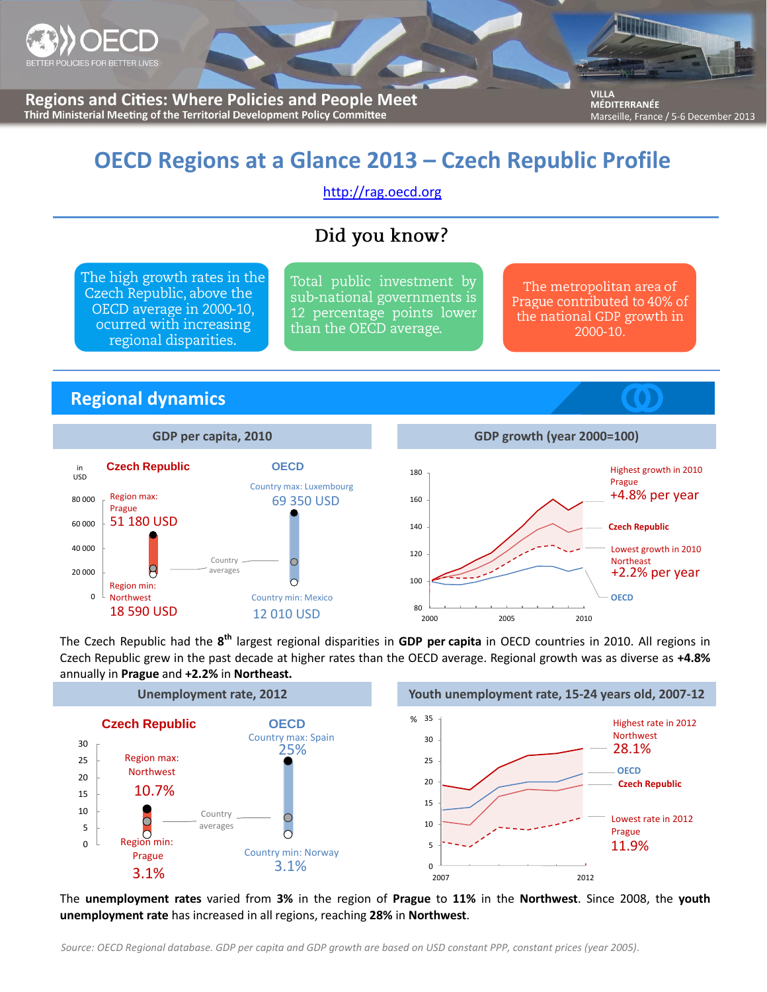

**Regions and Cities: Where Policies and People Meet** Third Ministerial Meeting of the Territorial Development Policy Committee

**VILLA** MÉDITERRANÉE Marseille, France / 5-6 December 2013

# **OECD Regions at a Glance 2013 – Czech Republic Profile**

[http://rag.oecd.org](http://rag.oecd.org/)

## Did you know?

The high growth rates in the Czech Republic, above the OECD average in 2000-10, ocurred with increasing regional disparities.

Total public investment by sub-national governments is 12 percentage points lower than the OECD average.

The metropolitan area of Prague contributed to 40% of the national GDP growth in 2000-10.

## **Regional dynamics**



The Czech Republic had the **8 th** largest regional disparities in **GDP per capita** in OECD countries in 2010. All regions in Czech Republic grew in the past decade at higher rates than the OECD average. Regional growth was as diverse as **+4.8%** annually in **Prague** and **+2.2%** in **Northeast.**



The **unemployment rates** varied from **3%** in the region of **Prague** to **11%** in the **Northwest**. Since 2008, the **youth unemployment rate** has increased in all regions, reaching **28%** in **Northwest**.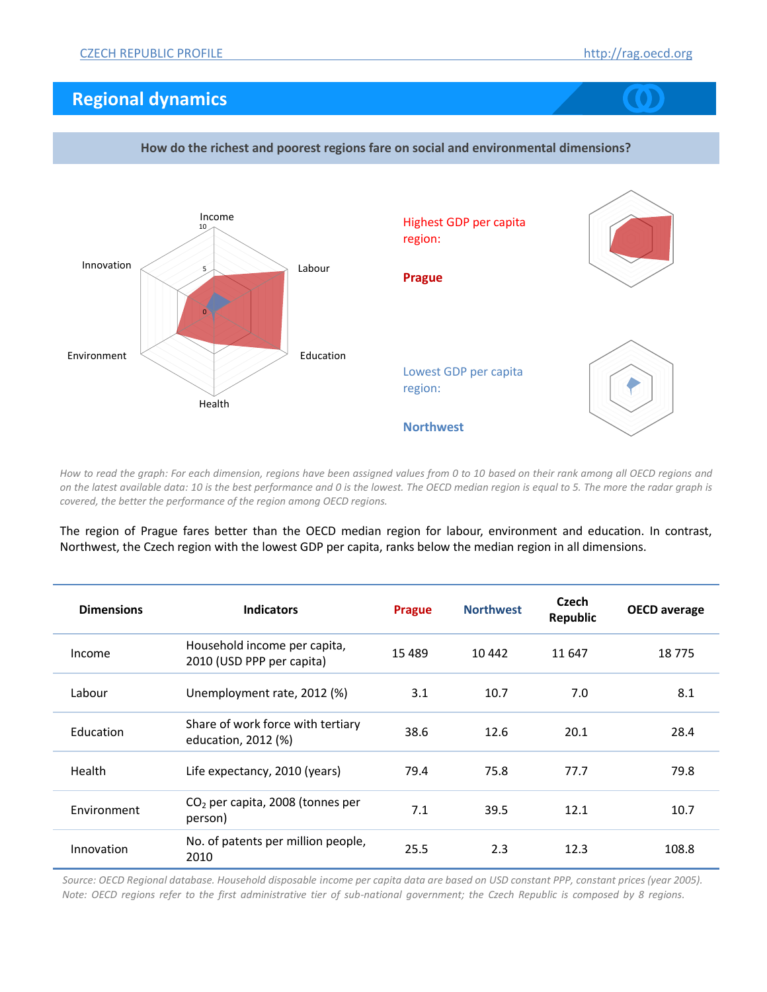## **Regional dynamics**



**How do the richest and poorest regions fare on social and environmental dimensions?**

*How to read the graph: For each dimension, regions have been assigned values from 0 to 10 based on their rank among all OECD regions and on the latest available data: 10 is the best performance and 0 is the lowest. The OECD median region is equal to 5. The more the radar graph is covered, the better the performance of the region among OECD regions.*

The region of Prague fares better than the OECD median region for labour, environment and education. In contrast, Northwest, the Czech region with the lowest GDP per capita, ranks below the median region in all dimensions.

| <b>Dimensions</b> | <b>Indicators</b>                                         | <b>Prague</b> | <b>Northwest</b> | Czech<br><b>Republic</b> | <b>OECD</b> average |
|-------------------|-----------------------------------------------------------|---------------|------------------|--------------------------|---------------------|
| Income            | Household income per capita,<br>2010 (USD PPP per capita) | 15489         | 10 442           | 11 647                   | 18775               |
| Labour            | Unemployment rate, 2012 (%)                               | 3.1           | 10.7             | 7.0                      | 8.1                 |
| Education         | Share of work force with tertiary<br>education, 2012 (%)  | 38.6          | 12.6             | 20.1                     | 28.4                |
| Health            | Life expectancy, 2010 (years)                             | 79.4          | 75.8             | 77.7                     | 79.8                |
| Environment       | $CO2$ per capita, 2008 (tonnes per<br>person)             | 7.1           | 39.5             | 12.1                     | 10.7                |
| Innovation        | No. of patents per million people,<br>2010                | 25.5          | 2.3              | 12.3                     | 108.8               |

*Source: OECD Regional database. Household disposable income per capita data are based on USD constant PPP, constant prices (year 2005). Note: OECD regions refer to the first administrative tier of sub-national government; the Czech Republic is composed by 8 regions.*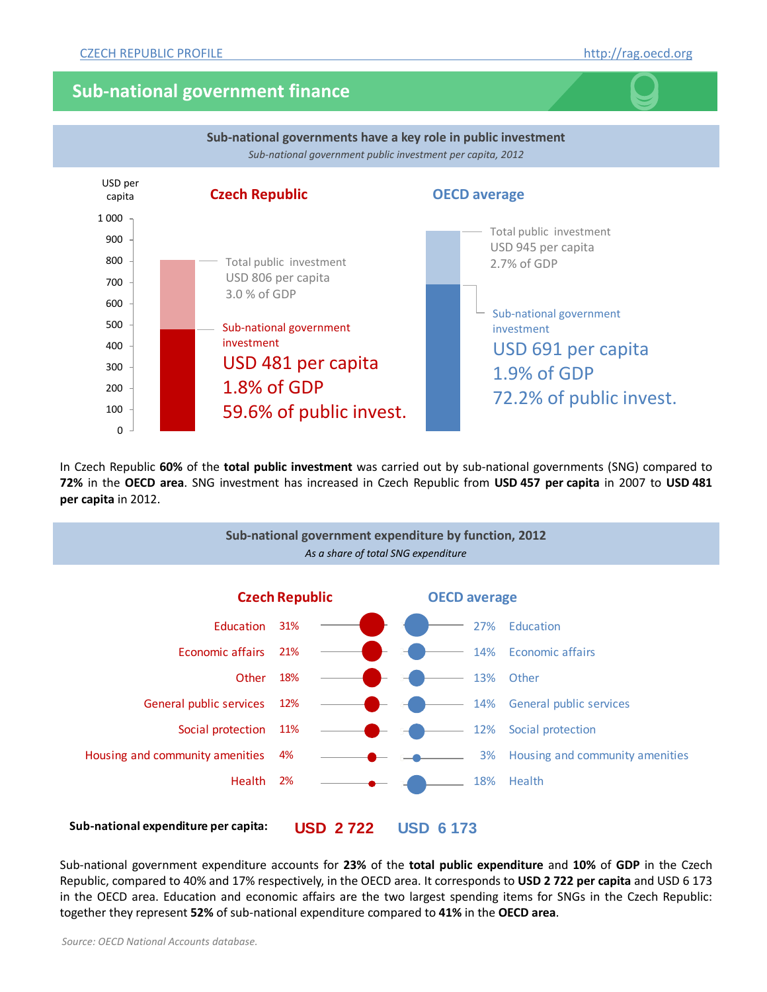## **Sub-national government finance**



In Czech Republic **60%** of the **total public investment** was carried out by sub-national governments (SNG) compared to **72%** in the **OECD area**. SNG investment has increased in Czech Republic from **USD 457 per capita** in 2007 to **USD 481 per capita** in 2012.



**USD 2 722 USD 6 173 Sub-national expenditure per capita:**

Sub-national government expenditure accounts for **23%** of the **total public expenditure** and **10%** of **GDP** in the Czech Republic, compared to 40% and 17% respectively, in the OECD area. It corresponds to **USD 2 722 per capita** and USD 6 173 in the OECD area. Education and economic affairs are the two largest spending items for SNGs in the Czech Republic: together they represent **52%** of sub-national expenditure compared to **41%** in the **OECD area**.

*Source: OECD National Accounts database.*